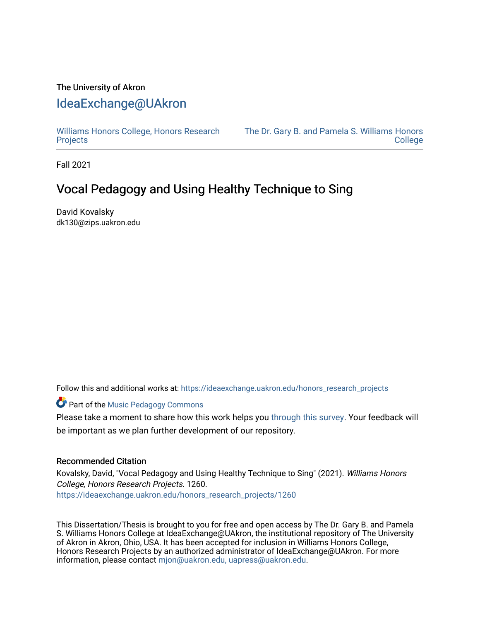## The University of Akron [IdeaExchange@UAkron](https://ideaexchange.uakron.edu/)

[Williams Honors College, Honors Research](https://ideaexchange.uakron.edu/honors_research_projects)  **[Projects](https://ideaexchange.uakron.edu/honors_research_projects)** 

[The Dr. Gary B. and Pamela S. Williams Honors](https://ideaexchange.uakron.edu/honorscollege_ideas)  [College](https://ideaexchange.uakron.edu/honorscollege_ideas) 

Fall 2021

## Vocal Pedagogy and Using Healthy Technique to Sing

David Kovalsky dk130@zips.uakron.edu

Follow this and additional works at: [https://ideaexchange.uakron.edu/honors\\_research\\_projects](https://ideaexchange.uakron.edu/honors_research_projects?utm_source=ideaexchange.uakron.edu%2Fhonors_research_projects%2F1260&utm_medium=PDF&utm_campaign=PDFCoverPages) 

**Part of the Music Pedagogy Commons** 

Please take a moment to share how this work helps you [through this survey](http://survey.az1.qualtrics.com/SE/?SID=SV_eEVH54oiCbOw05f&URL=https://ideaexchange.uakron.edu/honors_research_projects/1260). Your feedback will be important as we plan further development of our repository.

## Recommended Citation

Kovalsky, David, "Vocal Pedagogy and Using Healthy Technique to Sing" (2021). Williams Honors College, Honors Research Projects. 1260. [https://ideaexchange.uakron.edu/honors\\_research\\_projects/1260](https://ideaexchange.uakron.edu/honors_research_projects/1260?utm_source=ideaexchange.uakron.edu%2Fhonors_research_projects%2F1260&utm_medium=PDF&utm_campaign=PDFCoverPages) 

This Dissertation/Thesis is brought to you for free and open access by The Dr. Gary B. and Pamela S. Williams Honors College at IdeaExchange@UAkron, the institutional repository of The University of Akron in Akron, Ohio, USA. It has been accepted for inclusion in Williams Honors College, Honors Research Projects by an authorized administrator of IdeaExchange@UAkron. For more information, please contact [mjon@uakron.edu, uapress@uakron.edu.](mailto:mjon@uakron.edu,%20uapress@uakron.edu)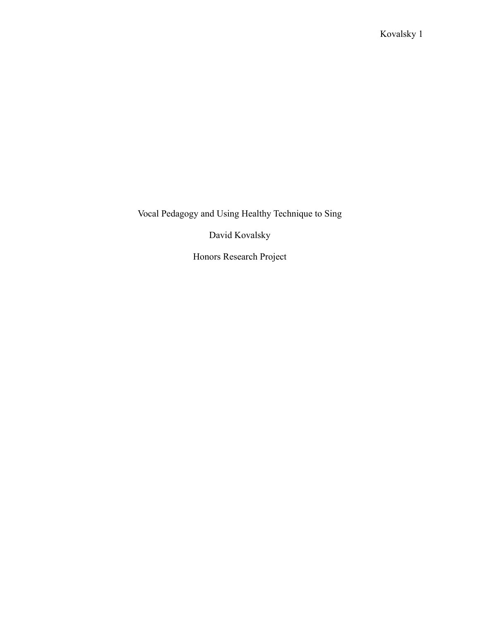Vocal Pedagogy and Using Healthy Technique to Sing

David Kovalsky

Honors Research Project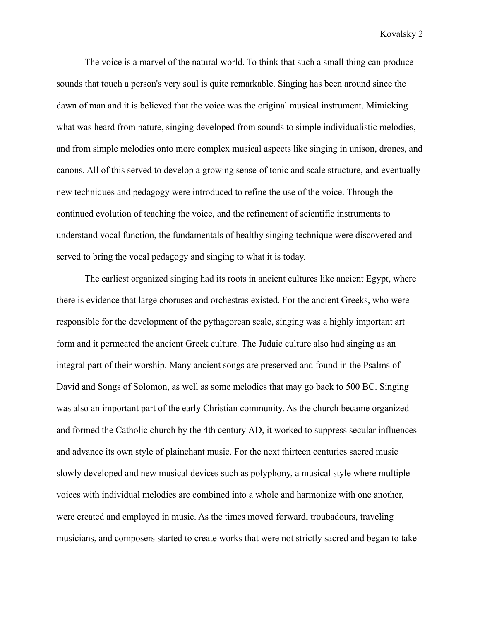The voice is a marvel of the natural world. To think that such a small thing can produce sounds that touch a person's very soul is quite remarkable. Singing has been around since the dawn of man and it is believed that the voice was the original musical instrument. Mimicking what was heard from nature, singing developed from sounds to simple individualistic melodies, and from simple melodies onto more complex musical aspects like singing in unison, drones, and canons. All of this served to develop a growing sense of tonic and scale structure, and eventually new techniques and pedagogy were introduced to refine the use of the voice. Through the continued evolution of teaching the voice, and the refinement of scientific instruments to understand vocal function, the fundamentals of healthy singing technique were discovered and served to bring the vocal pedagogy and singing to what it is today.

The earliest organized singing had its roots in ancient cultures like ancient Egypt, where there is evidence that large choruses and orchestras existed. For the ancient Greeks, who were responsible for the development of the pythagorean scale, singing was a highly important art form and it permeated the ancient Greek culture. The Judaic culture also had singing as an integral part of their worship. Many ancient songs are preserved and found in the Psalms of David and Songs of Solomon, as well as some melodies that may go back to 500 BC. Singing was also an important part of the early Christian community. As the church became organized and formed the Catholic church by the 4th century AD, it worked to suppress secular influences and advance its own style of plainchant music. For the next thirteen centuries sacred music slowly developed and new musical devices such as polyphony, a musical style where multiple voices with individual melodies are combined into a whole and harmonize with one another, were created and employed in music. As the times moved forward, troubadours, traveling musicians, and composers started to create works that were not strictly sacred and began to take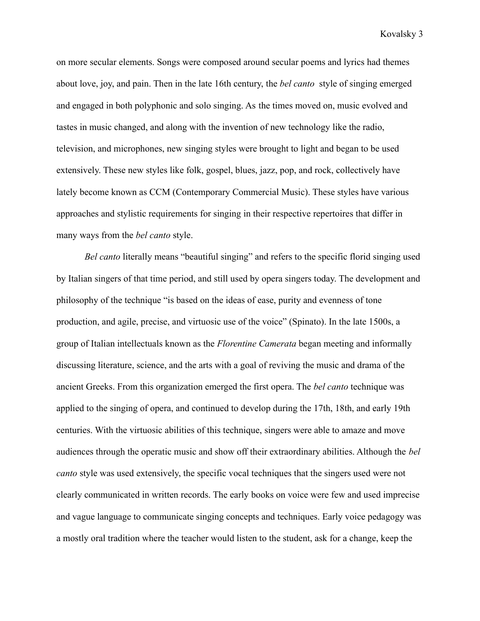on more secular elements. Songs were composed around secular poems and lyrics had themes about love, joy, and pain. Then in the late 16th century, the *bel canto* style of singing emerged and engaged in both polyphonic and solo singing. As the times moved on, music evolved and tastes in music changed, and along with the invention of new technology like the radio, television, and microphones, new singing styles were brought to light and began to be used extensively. These new styles like folk, gospel, blues, jazz, pop, and rock, collectively have lately become known as CCM (Contemporary Commercial Music). These styles have various approaches and stylistic requirements for singing in their respective repertoires that differ in many ways from the *bel canto* style.

*Bel canto* literally means "beautiful singing" and refers to the specific florid singing used by Italian singers of that time period, and still used by opera singers today. The development and philosophy of the technique "is based on the ideas of ease, purity and evenness of tone production, and agile, precise, and virtuosic use of the voice" (Spinato). In the late 1500s, a group of Italian intellectuals known as the *Florentine Camerata* began meeting and informally discussing literature, science, and the arts with a goal of reviving the music and drama of the ancient Greeks. From this organization emerged the first opera. The *bel canto* technique was applied to the singing of opera, and continued to develop during the 17th, 18th, and early 19th centuries. With the virtuosic abilities of this technique, singers were able to amaze and move audiences through the operatic music and show off their extraordinary abilities. Although the *bel canto* style was used extensively, the specific vocal techniques that the singers used were not clearly communicated in written records. The early books on voice were few and used imprecise and vague language to communicate singing concepts and techniques. Early voice pedagogy was a mostly oral tradition where the teacher would listen to the student, ask for a change, keep the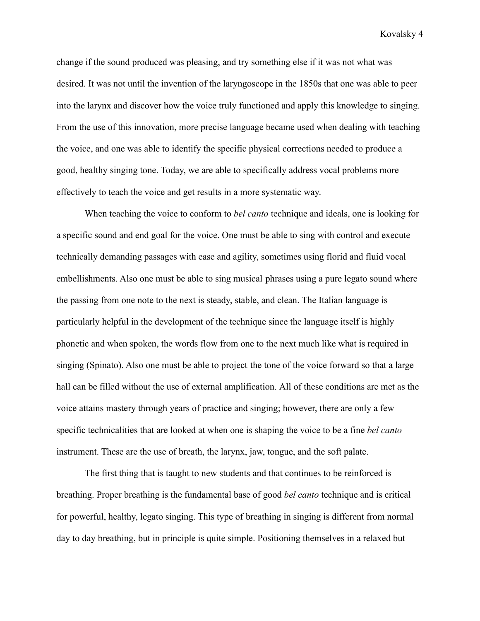change if the sound produced was pleasing, and try something else if it was not what was desired. It was not until the invention of the laryngoscope in the 1850s that one was able to peer into the larynx and discover how the voice truly functioned and apply this knowledge to singing. From the use of this innovation, more precise language became used when dealing with teaching the voice, and one was able to identify the specific physical corrections needed to produce a good, healthy singing tone. Today, we are able to specifically address vocal problems more effectively to teach the voice and get results in a more systematic way.

When teaching the voice to conform to *bel canto* technique and ideals, one is looking for a specific sound and end goal for the voice. One must be able to sing with control and execute technically demanding passages with ease and agility, sometimes using florid and fluid vocal embellishments. Also one must be able to sing musical phrases using a pure legato sound where the passing from one note to the next is steady, stable, and clean. The Italian language is particularly helpful in the development of the technique since the language itself is highly phonetic and when spoken, the words flow from one to the next much like what is required in singing (Spinato). Also one must be able to project the tone of the voice forward so that a large hall can be filled without the use of external amplification. All of these conditions are met as the voice attains mastery through years of practice and singing; however, there are only a few specific technicalities that are looked at when one is shaping the voice to be a fine *bel canto* instrument. These are the use of breath, the larynx, jaw, tongue, and the soft palate.

The first thing that is taught to new students and that continues to be reinforced is breathing. Proper breathing is the fundamental base of good *bel canto* technique and is critical for powerful, healthy, legato singing. This type of breathing in singing is different from normal day to day breathing, but in principle is quite simple. Positioning themselves in a relaxed but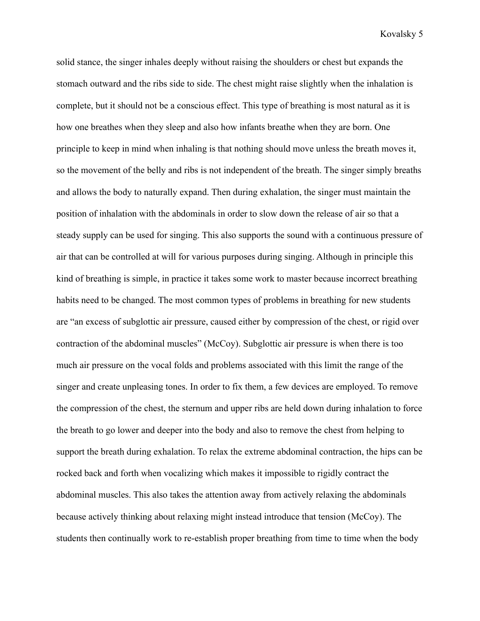solid stance, the singer inhales deeply without raising the shoulders or chest but expands the stomach outward and the ribs side to side. The chest might raise slightly when the inhalation is complete, but it should not be a conscious effect. This type of breathing is most natural as it is how one breathes when they sleep and also how infants breathe when they are born. One principle to keep in mind when inhaling is that nothing should move unless the breath moves it, so the movement of the belly and ribs is not independent of the breath. The singer simply breaths and allows the body to naturally expand. Then during exhalation, the singer must maintain the position of inhalation with the abdominals in order to slow down the release of air so that a steady supply can be used for singing. This also supports the sound with a continuous pressure of air that can be controlled at will for various purposes during singing. Although in principle this kind of breathing is simple, in practice it takes some work to master because incorrect breathing habits need to be changed. The most common types of problems in breathing for new students are "an excess of subglottic air pressure, caused either by compression of the chest, or rigid over contraction of the abdominal muscles" (McCoy). Subglottic air pressure is when there is too much air pressure on the vocal folds and problems associated with this limit the range of the singer and create unpleasing tones. In order to fix them, a few devices are employed. To remove the compression of the chest, the sternum and upper ribs are held down during inhalation to force the breath to go lower and deeper into the body and also to remove the chest from helping to support the breath during exhalation. To relax the extreme abdominal contraction, the hips can be rocked back and forth when vocalizing which makes it impossible to rigidly contract the abdominal muscles. This also takes the attention away from actively relaxing the abdominals because actively thinking about relaxing might instead introduce that tension (McCoy). The students then continually work to re-establish proper breathing from time to time when the body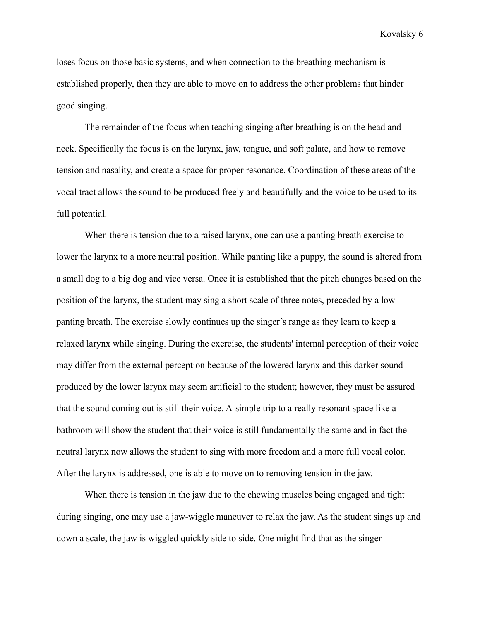loses focus on those basic systems, and when connection to the breathing mechanism is established properly, then they are able to move on to address the other problems that hinder good singing.

The remainder of the focus when teaching singing after breathing is on the head and neck. Specifically the focus is on the larynx, jaw, tongue, and soft palate, and how to remove tension and nasality, and create a space for proper resonance. Coordination of these areas of the vocal tract allows the sound to be produced freely and beautifully and the voice to be used to its full potential.

When there is tension due to a raised larynx, one can use a panting breath exercise to lower the larynx to a more neutral position. While panting like a puppy, the sound is altered from a small dog to a big dog and vice versa. Once it is established that the pitch changes based on the position of the larynx, the student may sing a short scale of three notes, preceded by a low panting breath. The exercise slowly continues up the singer's range as they learn to keep a relaxed larynx while singing. During the exercise, the students' internal perception of their voice may differ from the external perception because of the lowered larynx and this darker sound produced by the lower larynx may seem artificial to the student; however, they must be assured that the sound coming out is still their voice. A simple trip to a really resonant space like a bathroom will show the student that their voice is still fundamentally the same and in fact the neutral larynx now allows the student to sing with more freedom and a more full vocal color. After the larynx is addressed, one is able to move on to removing tension in the jaw.

When there is tension in the jaw due to the chewing muscles being engaged and tight during singing, one may use a jaw-wiggle maneuver to relax the jaw. As the student sings up and down a scale, the jaw is wiggled quickly side to side. One might find that as the singer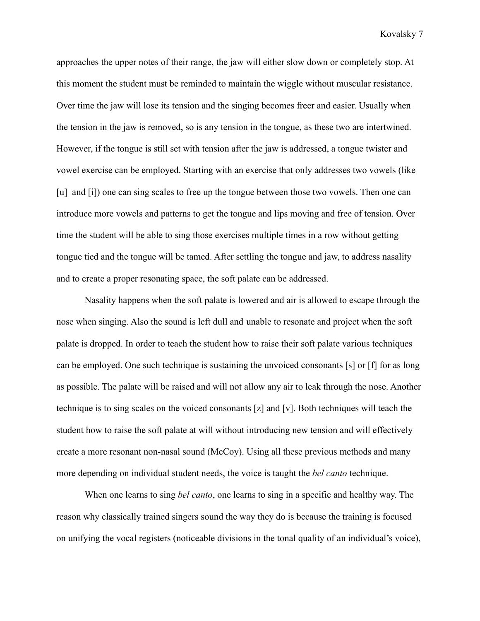approaches the upper notes of their range, the jaw will either slow down or completely stop. At this moment the student must be reminded to maintain the wiggle without muscular resistance. Over time the jaw will lose its tension and the singing becomes freer and easier. Usually when the tension in the jaw is removed, so is any tension in the tongue, as these two are intertwined. However, if the tongue is still set with tension after the jaw is addressed, a tongue twister and vowel exercise can be employed. Starting with an exercise that only addresses two vowels (like [u] and [i]) one can sing scales to free up the tongue between those two vowels. Then one can introduce more vowels and patterns to get the tongue and lips moving and free of tension. Over time the student will be able to sing those exercises multiple times in a row without getting tongue tied and the tongue will be tamed. After settling the tongue and jaw, to address nasality and to create a proper resonating space, the soft palate can be addressed.

Nasality happens when the soft palate is lowered and air is allowed to escape through the nose when singing. Also the sound is left dull and unable to resonate and project when the soft palate is dropped. In order to teach the student how to raise their soft palate various techniques can be employed. One such technique is sustaining the unvoiced consonants [s] or [f] for as long as possible. The palate will be raised and will not allow any air to leak through the nose. Another technique is to sing scales on the voiced consonants [z] and [v]. Both techniques will teach the student how to raise the soft palate at will without introducing new tension and will effectively create a more resonant non-nasal sound (McCoy). Using all these previous methods and many more depending on individual student needs, the voice is taught the *bel canto* technique.

When one learns to sing *bel canto*, one learns to sing in a specific and healthy way. The reason why classically trained singers sound the way they do is because the training is focused on unifying the vocal registers (noticeable divisions in the tonal quality of an individual's voice),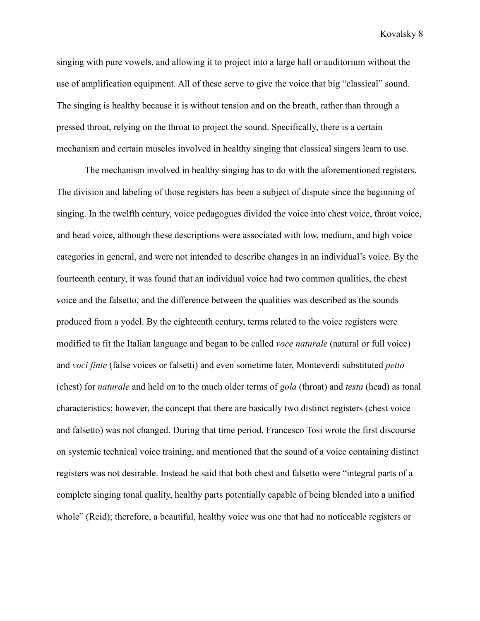singing with pure vowels, and allowing it to project into a large hall or auditorium without the use of amplification equipment. All of these serve to give the voice that big "classical" sound. The singing is healthy because it is without tension and on the breath, rather than through a pressed throat, relying on the throat to project the sound. Specifically, there is a certain mechanism and certain muscles involved in healthy singing that classical singers learn to use.

The mechanism involved in healthy singing has to do with the aforementioned registers. The division and labeling of those registers has been a subject of dispute since the beginning of singing. In the twelfth century, voice pedagogues divided the voice into chest voice, throat voice, and head voice, although these descriptions were associated with low, medium, and high voice categories in general, and were not intended to describe changes in an individual's voice. By the fourteenth century, it was found that an individual voice had two common qualities, the chest voice and the falsetto, and the difference between the qualities was described as the sounds produced from a yodel. By the eighteenth century, terms related to the voice registers were modified to fit the Italian language and began to be called *voce naturale* (natural or full voice) and *voci finte* (false voices or falsetti) and even sometime later, Monteverdi substituted *petto* (chest) for *naturale* and held on to the much older terms of *gola* (throat) and *testa* (head) as tonal characteristics; however, the concept that there are basically two distinct registers (chest voice and falsetto) was not changed. During that time period, Francesco Tosi wrote the first discourse on systemic technical voice training, and mentioned that the sound of a voice containing distinct registers was not desirable. Instead he said that both chest and falsetto were "integral parts of a complete singing tonal quality, healthy parts potentially capable of being blended into a unified whole" (Reid); therefore, a beautiful, healthy voice was one that had no noticeable registers or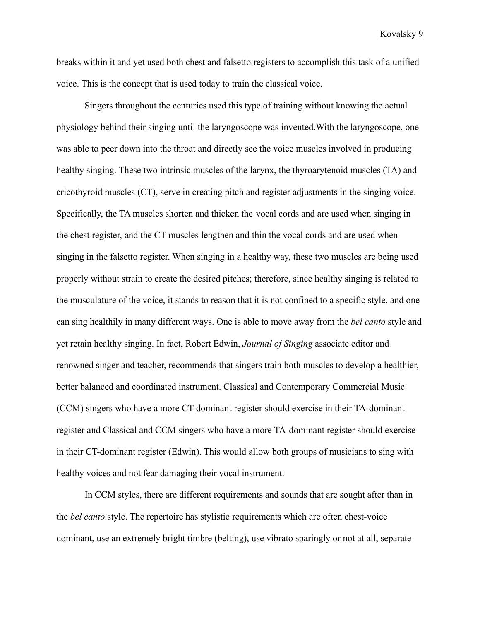breaks within it and yet used both chest and falsetto registers to accomplish this task of a unified voice. This is the concept that is used today to train the classical voice.

Singers throughout the centuries used this type of training without knowing the actual physiology behind their singing until the laryngoscope was invented.With the laryngoscope, one was able to peer down into the throat and directly see the voice muscles involved in producing healthy singing. These two intrinsic muscles of the larynx, the thyroarytenoid muscles (TA) and cricothyroid muscles (CT), serve in creating pitch and register adjustments in the singing voice. Specifically, the TA muscles shorten and thicken the vocal cords and are used when singing in the chest register, and the CT muscles lengthen and thin the vocal cords and are used when singing in the falsetto register. When singing in a healthy way, these two muscles are being used properly without strain to create the desired pitches; therefore, since healthy singing is related to the musculature of the voice, it stands to reason that it is not confined to a specific style, and one can sing healthily in many different ways. One is able to move away from the *bel canto* style and yet retain healthy singing. In fact, Robert Edwin, *Journal of Singing* associate editor and renowned singer and teacher, recommends that singers train both muscles to develop a healthier, better balanced and coordinated instrument. Classical and Contemporary Commercial Music (CCM) singers who have a more CT-dominant register should exercise in their TA-dominant register and Classical and CCM singers who have a more TA-dominant register should exercise in their CT-dominant register (Edwin). This would allow both groups of musicians to sing with healthy voices and not fear damaging their vocal instrument.

In CCM styles, there are different requirements and sounds that are sought after than in the *bel canto* style. The repertoire has stylistic requirements which are often chest-voice dominant, use an extremely bright timbre (belting), use vibrato sparingly or not at all, separate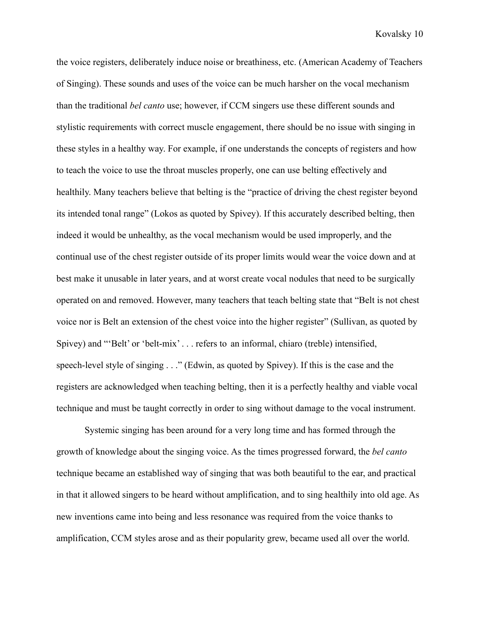the voice registers, deliberately induce noise or breathiness, etc. (American Academy of Teachers of Singing). These sounds and uses of the voice can be much harsher on the vocal mechanism than the traditional *bel canto* use; however, if CCM singers use these different sounds and stylistic requirements with correct muscle engagement, there should be no issue with singing in these styles in a healthy way. For example, if one understands the concepts of registers and how to teach the voice to use the throat muscles properly, one can use belting effectively and healthily. Many teachers believe that belting is the "practice of driving the chest register beyond its intended tonal range" (Lokos as quoted by Spivey). If this accurately described belting, then indeed it would be unhealthy, as the vocal mechanism would be used improperly, and the continual use of the chest register outside of its proper limits would wear the voice down and at best make it unusable in later years, and at worst create vocal nodules that need to be surgically operated on and removed. However, many teachers that teach belting state that "Belt is not chest voice nor is Belt an extension of the chest voice into the higher register" (Sullivan, as quoted by Spivey) and "'Belt' or 'belt-mix' . . . refers to an informal, chiaro (treble) intensified, speech-level style of singing . . ." (Edwin, as quoted by Spivey). If this is the case and the registers are acknowledged when teaching belting, then it is a perfectly healthy and viable vocal technique and must be taught correctly in order to sing without damage to the vocal instrument.

Systemic singing has been around for a very long time and has formed through the growth of knowledge about the singing voice. As the times progressed forward, the *bel canto* technique became an established way of singing that was both beautiful to the ear, and practical in that it allowed singers to be heard without amplification, and to sing healthily into old age. As new inventions came into being and less resonance was required from the voice thanks to amplification, CCM styles arose and as their popularity grew, became used all over the world.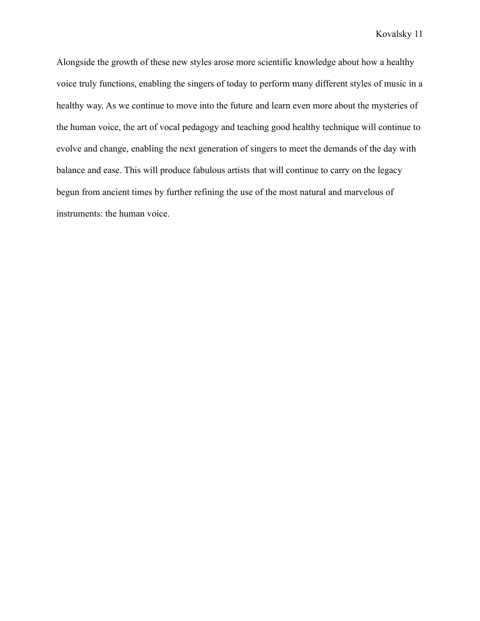Alongside the growth of these new styles arose more scientific knowledge about how a healthy voice truly functions, enabling the singers of today to perform many different styles of music in a healthy way. As we continue to move into the future and learn even more about the mysteries of the human voice, the art of vocal pedagogy and teaching good healthy technique will continue to evolve and change, enabling the next generation of singers to meet the demands of the day with balance and ease. This will produce fabulous artists that will continue to carry on the legacy begun from ancient times by further refining the use of the most natural and marvelous of instruments: the human voice.